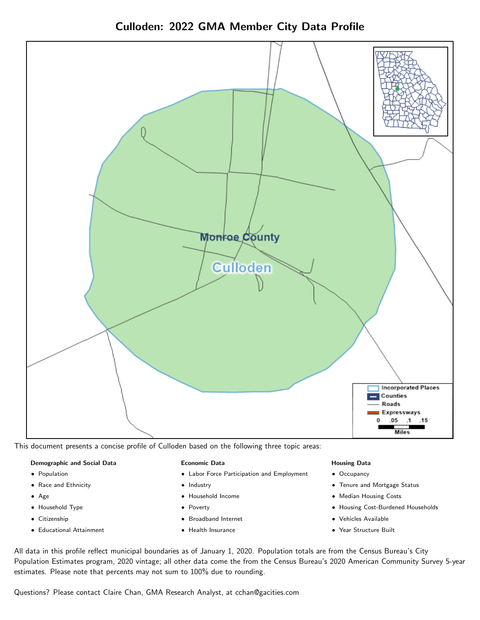Culloden: 2022 GMA Member City Data Profile



This document presents a concise profile of Culloden based on the following three topic areas:

#### Demographic and Social Data

- **•** Population
- Race and Ethnicity
- Age
- Household Type
- **Citizenship**
- Educational Attainment

#### Economic Data

- Labor Force Participation and Employment
- Industry
- Household Income
- Poverty
- Broadband Internet
- Health Insurance

#### Housing Data

- Occupancy
- Tenure and Mortgage Status
- Median Housing Costs
- Housing Cost-Burdened Households
- Vehicles Available
- Year Structure Built

All data in this profile reflect municipal boundaries as of January 1, 2020. Population totals are from the Census Bureau's City Population Estimates program, 2020 vintage; all other data come the from the Census Bureau's 2020 American Community Survey 5-year estimates. Please note that percents may not sum to 100% due to rounding.

Questions? Please contact Claire Chan, GMA Research Analyst, at [cchan@gacities.com.](mailto:cchan@gacities.com)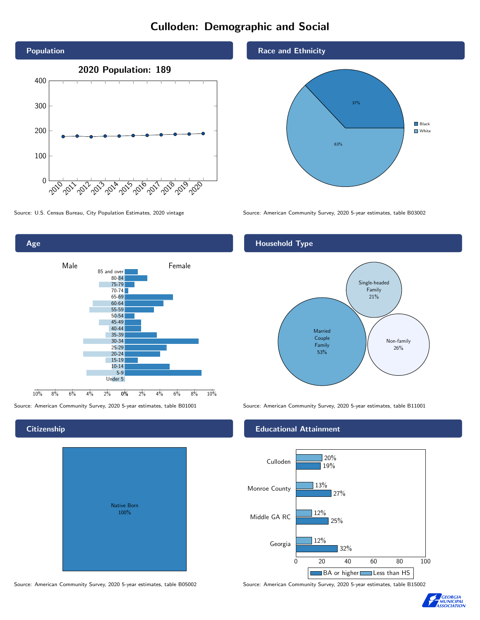# Culloden: Demographic and Social





## **Citizenship**

| <b>Native Born</b><br>100% |  |
|----------------------------|--|
|                            |  |

Race and Ethnicity



Source: U.S. Census Bureau, City Population Estimates, 2020 vintage Source: American Community Survey, 2020 5-year estimates, table B03002

## Household Type



Source: American Community Survey, 2020 5-year estimates, table B01001 Source: American Community Survey, 2020 5-year estimates, table B11001

### Educational Attainment



Source: American Community Survey, 2020 5-year estimates, table B05002 Source: American Community Survey, 2020 5-year estimates, table B15002

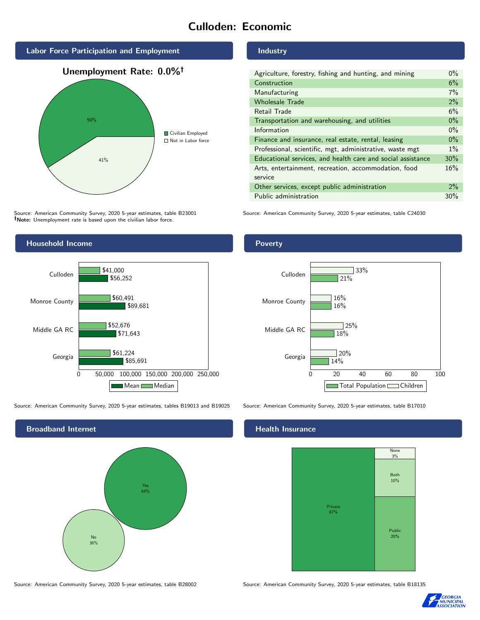# Culloden: Economic



Source: American Community Survey, 2020 5-year estimates, table B23001 Note: Unemployment rate is based upon the civilian labor force.



Source: American Community Survey, 2020 5-year estimates, tables B19013 and B19025 Source: American Community Survey, 2020 5-year estimates, table B17010



Industry

| Agriculture, forestry, fishing and hunting, and mining      |  |  |
|-------------------------------------------------------------|--|--|
| Construction                                                |  |  |
| Manufacturing                                               |  |  |
| <b>Wholesale Trade</b>                                      |  |  |
| Retail Trade                                                |  |  |
| Transportation and warehousing, and utilities               |  |  |
| Information                                                 |  |  |
| Finance and insurance, real estate, rental, leasing         |  |  |
| Professional, scientific, mgt, administrative, waste mgt    |  |  |
| Educational services, and health care and social assistance |  |  |
| Arts, entertainment, recreation, accommodation, food        |  |  |
| service                                                     |  |  |
| Other services, except public administration                |  |  |
| Public administration                                       |  |  |

Source: American Community Survey, 2020 5-year estimates, table C24030

Poverty



# **Health Insurance**



Source: American Community Survey, 2020 5-year estimates, table B28002 Source: American Community Survey, 2020 5-year estimates, table B18135